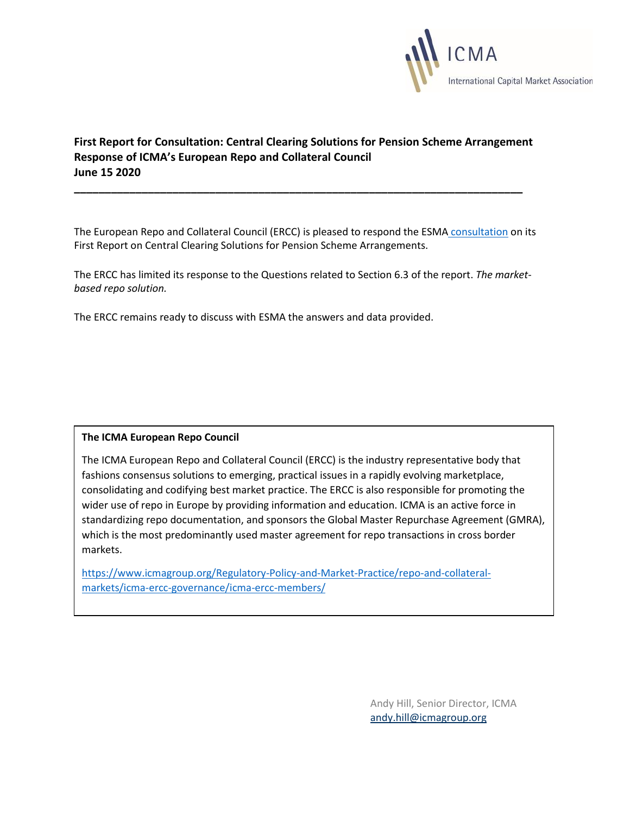

# **First Report for Consultation: Central Clearing Solutions for Pension Scheme Arrangement Response of ICMA's European Repo and Collateral Council June 15 2020**

**\_\_\_\_\_\_\_\_\_\_\_\_\_\_\_\_\_\_\_\_\_\_\_\_\_\_\_\_\_\_\_\_\_\_\_\_\_\_\_\_\_\_\_\_\_\_\_\_\_\_\_\_\_\_\_\_\_\_\_\_\_\_\_\_\_\_\_\_\_\_\_\_\_**

The European Repo and Collateral Council (ERCC) is pleased to respond the ESMA [consultation](https://www.esma.europa.eu/sites/default/files/library/esma70-151-2823_esma_report_to_the_european_commission_on_central_clearing_obligations_for_psa_-_no_1.pdf) on its First Report on Central Clearing Solutions for Pension Scheme Arrangements.

The ERCC has limited its response to the Questions related to Section 6.3 of the report. *The marketbased repo solution.*

The ERCC remains ready to discuss with ESMA the answers and data provided.

### **The ICMA European Repo Council**

The ICMA European Repo and Collateral Council (ERCC) is the industry representative body that fashions consensus solutions to emerging, practical issues in a rapidly evolving marketplace, consolidating and codifying best market practice. The ERCC is also responsible for promoting the wider use of repo in Europe by providing information and education. ICMA is an active force in standardizing repo documentation, and sponsors the Global Master Repurchase Agreement (GMRA), which is the most predominantly used master agreement for repo transactions in cross border markets.

[https://www.icmagroup.org/Regulatory-Policy-and-Market-Practice/repo-and-collateral](https://www.icmagroup.org/Regulatory-Policy-and-Market-Practice/repo-and-collateral-markets/icma-ercc-governance/icma-ercc-members/)[markets/icma-ercc-governance/icma-ercc-members/](https://www.icmagroup.org/Regulatory-Policy-and-Market-Practice/repo-and-collateral-markets/icma-ercc-governance/icma-ercc-members/)

> Andy Hill, Senior Director, ICMA [andy.hill@icmagroup.org](mailto:andy.hill@icmagroup.org)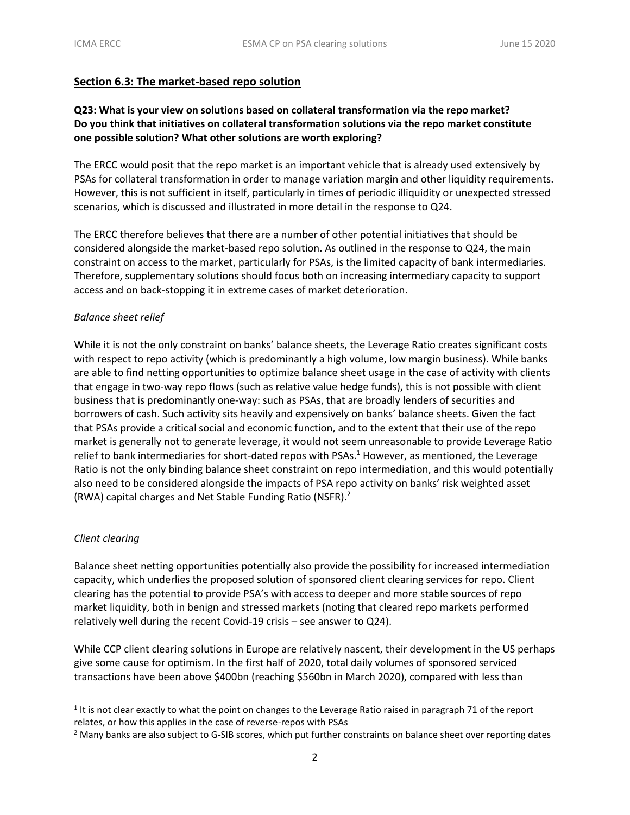### **Section 6.3: The market-based repo solution**

## **Q23: What is your view on solutions based on collateral transformation via the repo market? Do you think that initiatives on collateral transformation solutions via the repo market constitute one possible solution? What other solutions are worth exploring?**

The ERCC would posit that the repo market is an important vehicle that is already used extensively by PSAs for collateral transformation in order to manage variation margin and other liquidity requirements. However, this is not sufficient in itself, particularly in times of periodic illiquidity or unexpected stressed scenarios, which is discussed and illustrated in more detail in the response to Q24.

The ERCC therefore believes that there are a number of other potential initiatives that should be considered alongside the market-based repo solution. As outlined in the response to Q24, the main constraint on access to the market, particularly for PSAs, is the limited capacity of bank intermediaries. Therefore, supplementary solutions should focus both on increasing intermediary capacity to support access and on back-stopping it in extreme cases of market deterioration.

### *Balance sheet relief*

While it is not the only constraint on banks' balance sheets, the Leverage Ratio creates significant costs with respect to repo activity (which is predominantly a high volume, low margin business). While banks are able to find netting opportunities to optimize balance sheet usage in the case of activity with clients that engage in two-way repo flows (such as relative value hedge funds), this is not possible with client business that is predominantly one-way: such as PSAs, that are broadly lenders of securities and borrowers of cash. Such activity sits heavily and expensively on banks' balance sheets. Given the fact that PSAs provide a critical social and economic function, and to the extent that their use of the repo market is generally not to generate leverage, it would not seem unreasonable to provide Leverage Ratio relief to bank intermediaries for short-dated repos with PSAs.<sup>1</sup> However, as mentioned, the Leverage Ratio is not the only binding balance sheet constraint on repo intermediation, and this would potentially also need to be considered alongside the impacts of PSA repo activity on banks' risk weighted asset (RWA) capital charges and Net Stable Funding Ratio (NSFR).<sup>2</sup>

#### *Client clearing*

Balance sheet netting opportunities potentially also provide the possibility for increased intermediation capacity, which underlies the proposed solution of sponsored client clearing services for repo. Client clearing has the potential to provide PSA's with access to deeper and more stable sources of repo market liquidity, both in benign and stressed markets (noting that cleared repo markets performed relatively well during the recent Covid-19 crisis – see answer to Q24).

While CCP client clearing solutions in Europe are relatively nascent, their development in the US perhaps give some cause for optimism. In the first half of 2020, total daily volumes of sponsored serviced transactions have been above \$400bn (reaching \$560bn in March 2020), compared with less than

<sup>&</sup>lt;sup>1</sup> It is not clear exactly to what the point on changes to the Leverage Ratio raised in paragraph 71 of the report relates, or how this applies in the case of reverse-repos with PSAs

<sup>&</sup>lt;sup>2</sup> Many banks are also subject to G-SIB scores, which put further constraints on balance sheet over reporting dates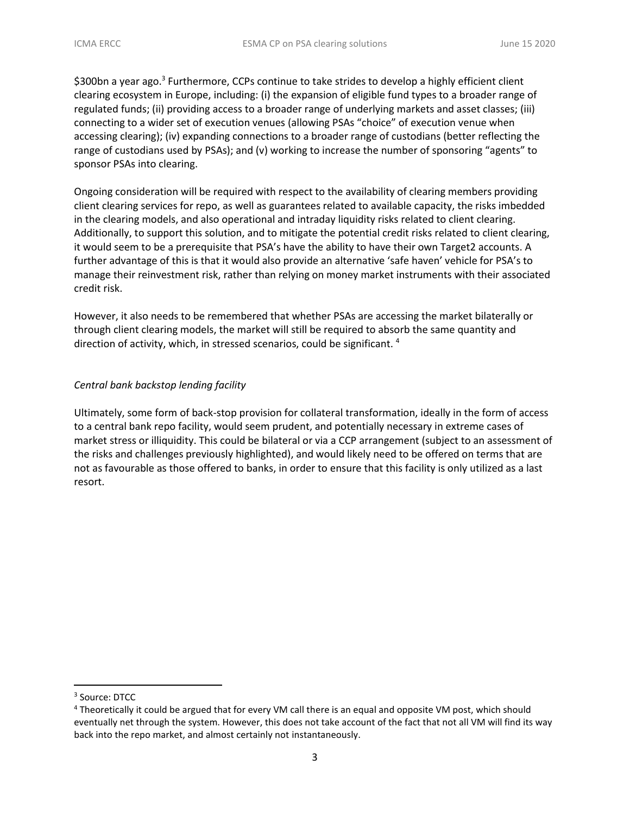\$300bn a year ago.<sup>3</sup> Furthermore, CCPs continue to take strides to develop a highly efficient client clearing ecosystem in Europe, including: (i) the expansion of eligible fund types to a broader range of regulated funds; (ii) providing access to a broader range of underlying markets and asset classes; (iii) connecting to a wider set of execution venues (allowing PSAs "choice" of execution venue when accessing clearing); (iv) expanding connections to a broader range of custodians (better reflecting the range of custodians used by PSAs); and (v) working to increase the number of sponsoring "agents" to sponsor PSAs into clearing.

Ongoing consideration will be required with respect to the availability of clearing members providing client clearing services for repo, as well as guarantees related to available capacity, the risks imbedded in the clearing models, and also operational and intraday liquidity risks related to client clearing. Additionally, to support this solution, and to mitigate the potential credit risks related to client clearing, it would seem to be a prerequisite that PSA's have the ability to have their own Target2 accounts. A further advantage of this is that it would also provide an alternative 'safe haven' vehicle for PSA's to manage their reinvestment risk, rather than relying on money market instruments with their associated credit risk.

However, it also needs to be remembered that whether PSAs are accessing the market bilaterally or through client clearing models, the market will still be required to absorb the same quantity and direction of activity, which, in stressed scenarios, could be significant. <sup>4</sup>

### *Central bank backstop lending facility*

Ultimately, some form of back-stop provision for collateral transformation, ideally in the form of access to a central bank repo facility, would seem prudent, and potentially necessary in extreme cases of market stress or illiquidity. This could be bilateral or via a CCP arrangement (subject to an assessment of the risks and challenges previously highlighted), and would likely need to be offered on terms that are not as favourable as those offered to banks, in order to ensure that this facility is only utilized as a last resort.

<sup>3</sup> Source: DTCC

<sup>&</sup>lt;sup>4</sup> Theoretically it could be argued that for every VM call there is an equal and opposite VM post, which should eventually net through the system. However, this does not take account of the fact that not all VM will find its way back into the repo market, and almost certainly not instantaneously.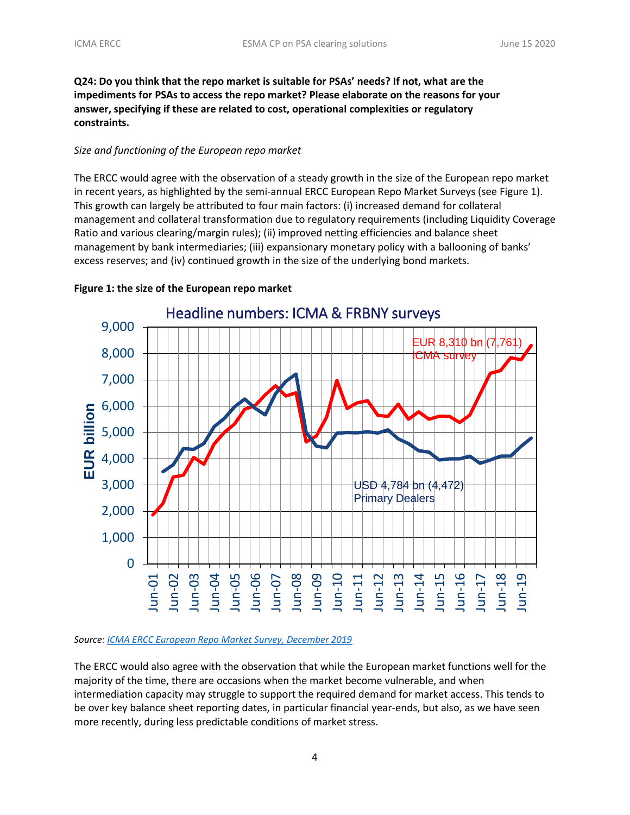**Q24: Do you think that the repo market is suitable for PSAs' needs? If not, what are the impediments for PSAs to access the repo market? Please elaborate on the reasons for your answer, specifying if these are related to cost, operational complexities or regulatory constraints.**

#### *Size and functioning of the European repo market*

The ERCC would agree with the observation of a steady growth in the size of the European repo market in recent years, as highlighted by the semi-annual ERCC European Repo Market Surveys (see Figure 1). This growth can largely be attributed to four main factors: (i) increased demand for collateral management and collateral transformation due to regulatory requirements (including Liquidity Coverage Ratio and various clearing/margin rules); (ii) improved netting efficiencies and balance sheet management by bank intermediaries; (iii) expansionary monetary policy with a ballooning of banks' excess reserves; and (iv) continued growth in the size of the underlying bond markets.



#### **Figure 1: the size of the European repo market**

#### *Source: [ICMA ERCC European Repo Market Survey, December 2019](https://www.icmagroup.org/assets/documents/Regulatory/Repo/Surveys/ICMA-European-repo-market-survey-number-38-conducted-December-2019-210420.pdf)*

The ERCC would also agree with the observation that while the European market functions well for the majority of the time, there are occasions when the market become vulnerable, and when intermediation capacity may struggle to support the required demand for market access. This tends to be over key balance sheet reporting dates, in particular financial year-ends, but also, as we have seen more recently, during less predictable conditions of market stress.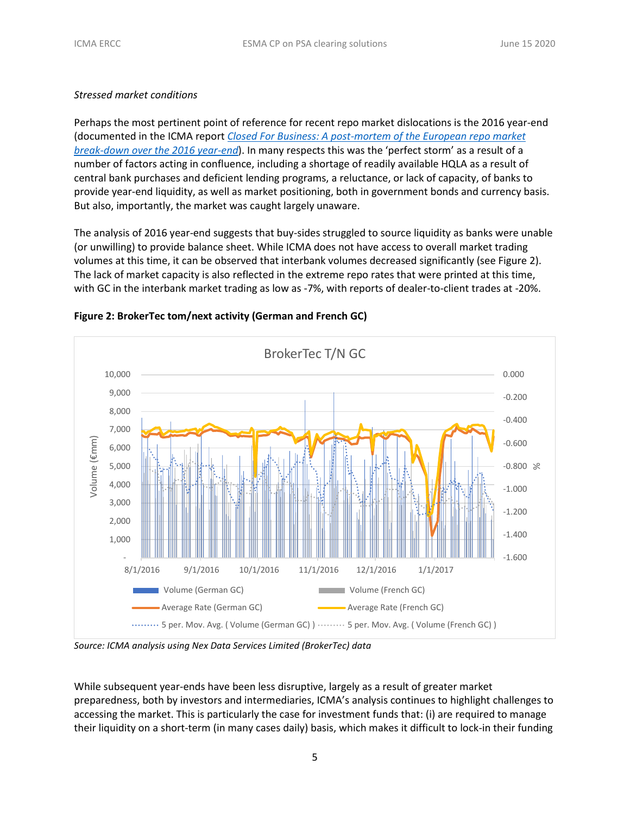### *Stressed market conditions*

Perhaps the most pertinent point of reference for recent repo market dislocations is the 2016 year-end (documented in the ICMA report *[Closed For Business: A post-mortem of the European repo market](https://www.icmagroup.org/assets/documents/Regulatory/Repo/ICMA-ERCC-year-end-report-2016-AndyHill-020317.pdf) [break-down over the 2016 year-end](https://www.icmagroup.org/assets/documents/Regulatory/Repo/ICMA-ERCC-year-end-report-2016-AndyHill-020317.pdf)*). In many respects this was the 'perfect storm' as a result of a number of factors acting in confluence, including a shortage of readily available HQLA as a result of central bank purchases and deficient lending programs, a reluctance, or lack of capacity, of banks to provide year-end liquidity, as well as market positioning, both in government bonds and currency basis. But also, importantly, the market was caught largely unaware.

The analysis of 2016 year-end suggests that buy-sides struggled to source liquidity as banks were unable (or unwilling) to provide balance sheet. While ICMA does not have access to overall market trading volumes at this time, it can be observed that interbank volumes decreased significantly (see Figure 2). The lack of market capacity is also reflected in the extreme repo rates that were printed at this time, with GC in the interbank market trading as low as -7%, with reports of dealer-to-client trades at -20%.



#### **Figure 2: BrokerTec tom/next activity (German and French GC)**

*Source: ICMA analysis using Nex Data Services Limited (BrokerTec) data*

While subsequent year-ends have been less disruptive, largely as a result of greater market preparedness, both by investors and intermediaries, ICMA's analysis continues to highlight challenges to accessing the market. This is particularly the case for investment funds that: (i) are required to manage their liquidity on a short-term (in many cases daily) basis, which makes it difficult to lock-in their funding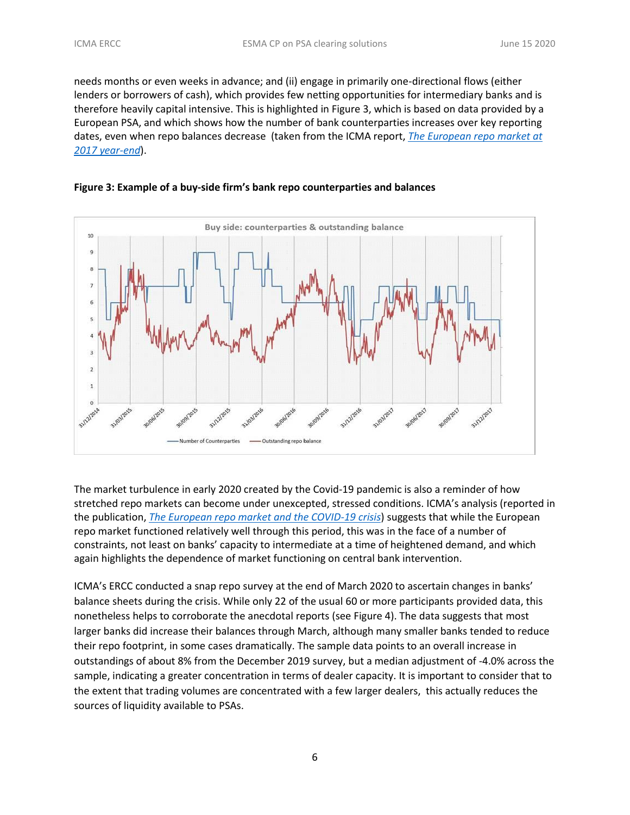needs months or even weeks in advance; and (ii) engage in primarily one-directional flows (either lenders or borrowers of cash), which provides few netting opportunities for intermediary banks and is therefore heavily capital intensive. This is highlighted in Figure 3, which is based on data provided by a European PSA, and which shows how the number of bank counterparties increases over key reporting dates, even when repo balances decrease (taken from the ICMA report, *[The European repo market at](https://www.icmagroup.org/assets/documents/Regulatory/Repo/ICMA-ERCC_2017-year-end-report_Final-150118.pdf)  [2017 year-end](https://www.icmagroup.org/assets/documents/Regulatory/Repo/ICMA-ERCC_2017-year-end-report_Final-150118.pdf)*).





The market turbulence in early 2020 created by the Covid-19 pandemic is also a reminder of how stretched repo markets can become under unexcepted, stressed conditions. ICMA's analysis (reported in the publication, *[The European repo market and the COVID-19 crisis](https://www.icmagroup.org/assets/documents/Regulatory/Repo/The-European-repo-market-and-the-COVID-19-crisis-April-2020-270420v2.pdf)*) suggests that while the European [repo market functioned relatively well through this period, this was in the face of a number of](https://www.icmagroup.org/assets/documents/Regulatory/Repo/The-European-repo-market-and-the-COVID-19-crisis-April-2020-270420v2.pdf)  [constraints, not least on banks' capacity to intermediate at a time of heightened demand, and which](https://www.icmagroup.org/assets/documents/Regulatory/Repo/The-European-repo-market-and-the-COVID-19-crisis-April-2020-270420v2.pdf)  [again highlights the dependence of market functioning on central bank intervention.](https://www.icmagroup.org/assets/documents/Regulatory/Repo/The-European-repo-market-and-the-COVID-19-crisis-April-2020-270420v2.pdf)

ICMA's ERCC conducted a snap repo survey at the end of March 2020 to ascertain changes in banks' balance sheets during the crisis. While only 22 of the usual 60 or more participants provided data, this nonetheless helps to corroborate the anecdotal reports (see Figure 4). The data suggests that most larger banks did increase their balances through March, although many smaller banks tended to reduce their repo footprint, in some cases dramatically. The sample data points to an overall increase in outstandings of about 8% from the December 2019 survey, but a median adjustment of -4.0% across the sample, indicating a greater concentration in terms of dealer capacity. It is important to consider that to the extent that trading volumes are concentrated with a few larger dealers, this actually reduces the sources of liquidity available to PSAs.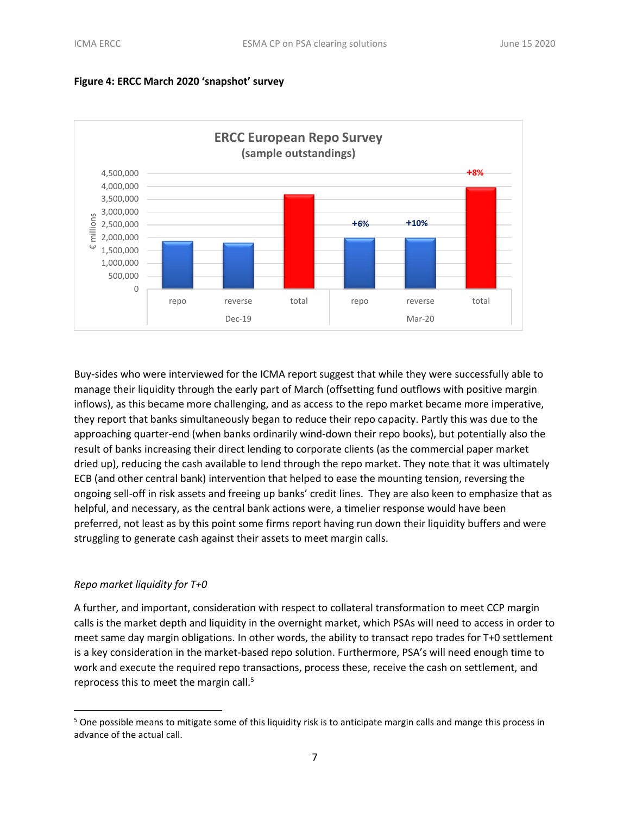



Buy-sides who were interviewed for the ICMA report suggest that while they were successfully able to manage their liquidity through the early part of March (offsetting fund outflows with positive margin inflows), as this became more challenging, and as access to the repo market became more imperative, they report that banks simultaneously began to reduce their repo capacity. Partly this was due to the approaching quarter-end (when banks ordinarily wind-down their repo books), but potentially also the result of banks increasing their direct lending to corporate clients (as the commercial paper market dried up), reducing the cash available to lend through the repo market. They note that it was ultimately ECB (and other central bank) intervention that helped to ease the mounting tension, reversing the ongoing sell-off in risk assets and freeing up banks' credit lines. They are also keen to emphasize that as helpful, and necessary, as the central bank actions were, a timelier response would have been preferred, not least as by this point some firms report having run down their liquidity buffers and were struggling to generate cash against their assets to meet margin calls.

### *Repo market liquidity for T+0*

A further, and important, consideration with respect to collateral transformation to meet CCP margin calls is the market depth and liquidity in the overnight market, which PSAs will need to access in order to meet same day margin obligations. In other words, the ability to transact repo trades for T+0 settlement is a key consideration in the market-based repo solution. Furthermore, PSA's will need enough time to work and execute the required repo transactions, process these, receive the cash on settlement, and reprocess this to meet the margin call.<sup>5</sup>

 $5$  One possible means to mitigate some of this liquidity risk is to anticipate margin calls and mange this process in advance of the actual call.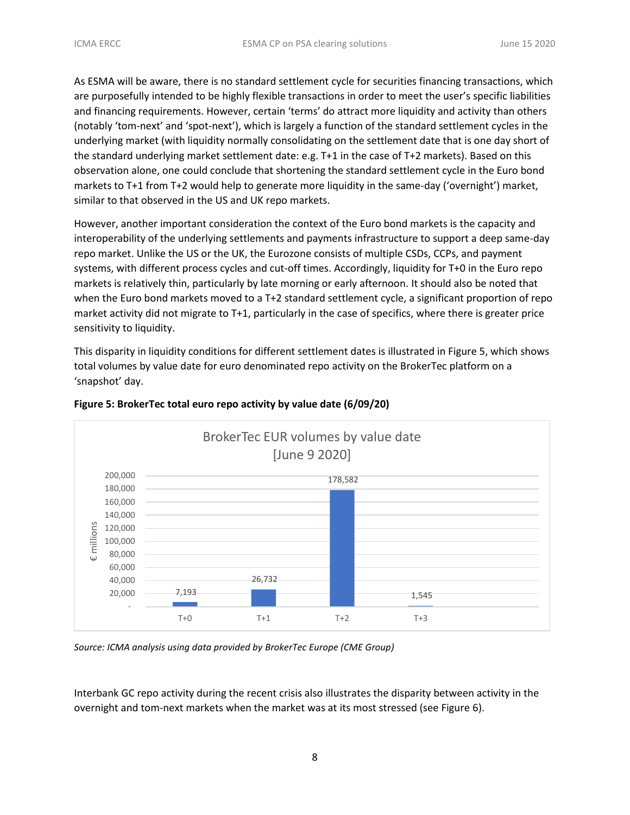As ESMA will be aware, there is no standard settlement cycle for securities financing transactions, which are purposefully intended to be highly flexible transactions in order to meet the user's specific liabilities and financing requirements. However, certain 'terms' do attract more liquidity and activity than others (notably 'tom-next' and 'spot-next'), which is largely a function of the standard settlement cycles in the underlying market (with liquidity normally consolidating on the settlement date that is one day short of the standard underlying market settlement date: e.g. T+1 in the case of T+2 markets). Based on this observation alone, one could conclude that shortening the standard settlement cycle in the Euro bond markets to T+1 from T+2 would help to generate more liquidity in the same-day ('overnight') market, similar to that observed in the US and UK repo markets.

However, another important consideration the context of the Euro bond markets is the capacity and interoperability of the underlying settlements and payments infrastructure to support a deep same-day repo market. Unlike the US or the UK, the Eurozone consists of multiple CSDs, CCPs, and payment systems, with different process cycles and cut-off times. Accordingly, liquidity for T+0 in the Euro repo markets is relatively thin, particularly by late morning or early afternoon. It should also be noted that when the Euro bond markets moved to a T+2 standard settlement cycle, a significant proportion of repo market activity did not migrate to T+1, particularly in the case of specifics, where there is greater price sensitivity to liquidity.

This disparity in liquidity conditions for different settlement dates is illustrated in Figure 5, which shows total volumes by value date for euro denominated repo activity on the BrokerTec platform on a 'snapshot' day.



### **Figure 5: BrokerTec total euro repo activity by value date (6/09/20)**

*Source: ICMA analysis using data provided by BrokerTec Europe (CME Group)*

Interbank GC repo activity during the recent crisis also illustrates the disparity between activity in the overnight and tom-next markets when the market was at its most stressed (see Figure 6).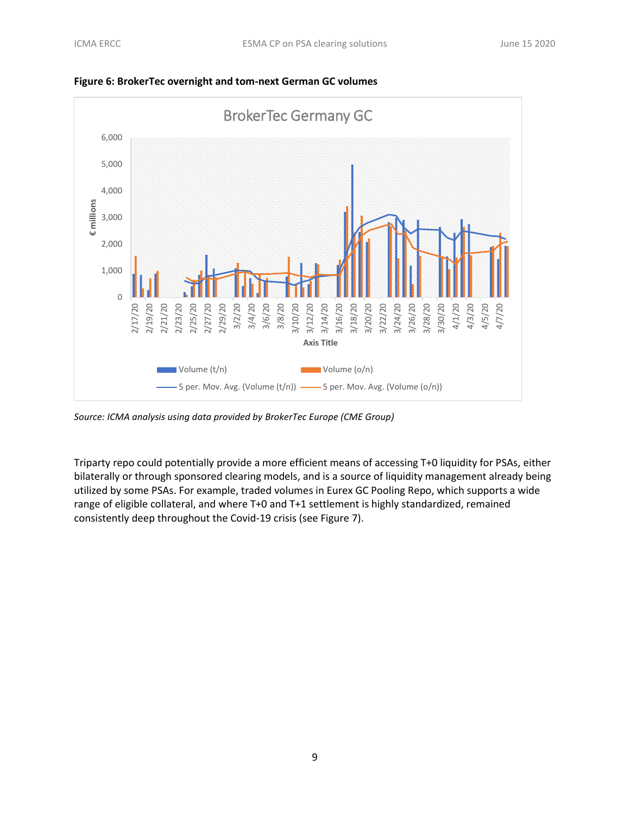

**Figure 6: BrokerTec overnight and tom-next German GC volumes**

*Source: ICMA analysis using data provided by BrokerTec Europe (CME Group)*

Triparty repo could potentially provide a more efficient means of accessing T+0 liquidity for PSAs, either bilaterally or through sponsored clearing models, and is a source of liquidity management already being utilized by some PSAs. For example, traded volumes in Eurex GC Pooling Repo, which supports a wide range of eligible collateral, and where T+0 and T+1 settlement is highly standardized, remained consistently deep throughout the Covid-19 crisis (see Figure 7).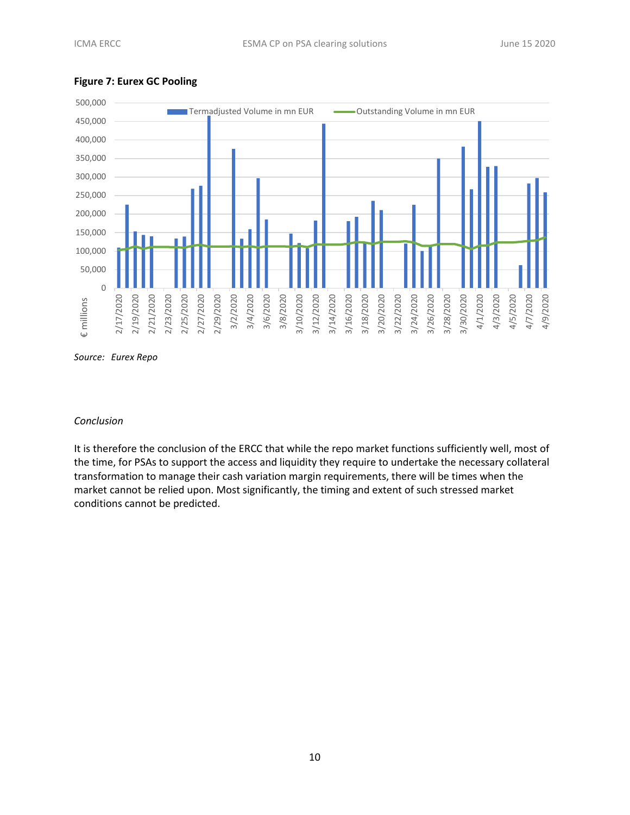

#### **Figure 7: Eurex GC Pooling**

*Source: Eurex Repo*

#### *Conclusion*

It is therefore the conclusion of the ERCC that while the repo market functions sufficiently well, most of the time, for PSAs to support the access and liquidity they require to undertake the necessary collateral transformation to manage their cash variation margin requirements, there will be times when the market cannot be relied upon. Most significantly, the timing and extent of such stressed market conditions cannot be predicted.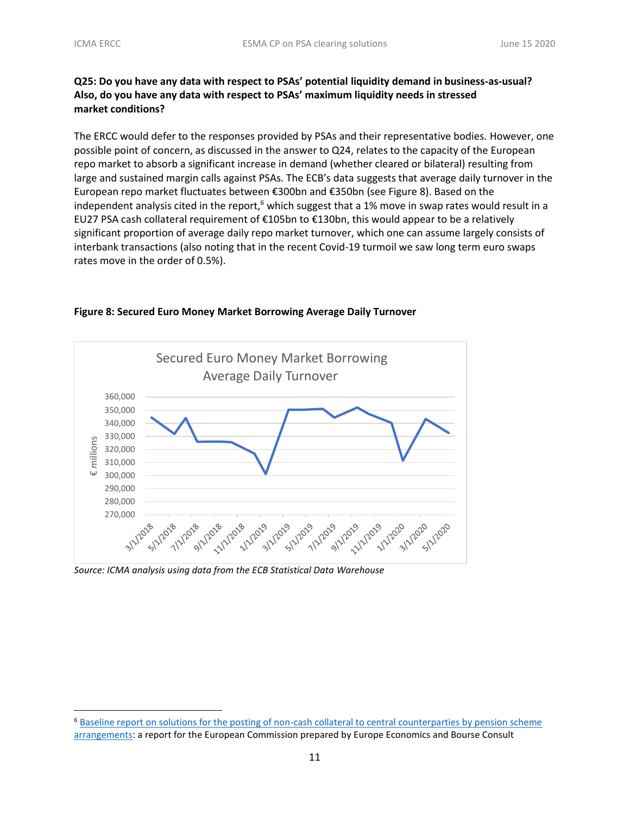## **Q25: Do you have any data with respect to PSAs' potential liquidity demand in business-as-usual? Also, do you have any data with respect to PSAs' maximum liquidity needs in stressed market conditions?**

The ERCC would defer to the responses provided by PSAs and their representative bodies. However, one possible point of concern, as discussed in the answer to Q24, relates to the capacity of the European repo market to absorb a significant increase in demand (whether cleared or bilateral) resulting from large and sustained margin calls against PSAs. The ECB's data suggests that average daily turnover in the European repo market fluctuates between €300bn and €350bn (see Figure 8). Based on the independent analysis cited in the report,<sup>6</sup> which suggest that a 1% move in swap rates would result in a EU27 PSA cash collateral requirement of €105bn to €130bn, this would appear to be a relatively significant proportion of average daily repo market turnover, which one can assume largely consists of interbank transactions (also noting that in the recent Covid-19 turmoil we saw long term euro swaps rates move in the order of 0.5%).



#### **Figure 8: Secured Euro Money Market Borrowing Average Daily Turnover**

*Source: ICMA analysis using data from the ECB Statistical Data Warehouse*

<sup>6</sup> [Baseline report on solutions for the posting of non-cash collateral to central counterparties by pension scheme](https://op.europa.eu/en/publication-detail/-/publication/3eae9bbe-6d06-11e5-9317-01aa75ed71a1/language-en)  [arrangements:](https://op.europa.eu/en/publication-detail/-/publication/3eae9bbe-6d06-11e5-9317-01aa75ed71a1/language-en) a report for the European Commission prepared by Europe Economics and Bourse Consult